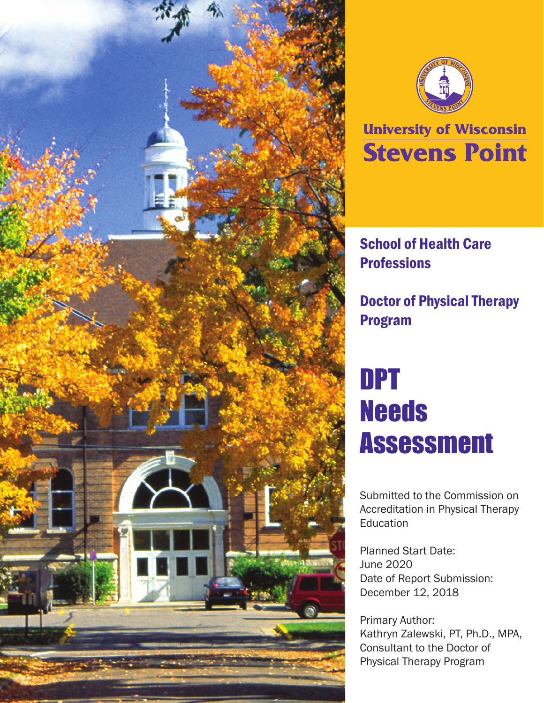



# **University of Wisconsin Stevens Point**

# School of Health Care **Professions**

Doctor of Physical Therapy Program

# DPT **Needs** Assessment

Submitted to the Commission on Accreditation in Physical Therapy **Education** 

Planned Start Date: June 2020 Date of Report Submission: December 12, 2018

Primary Author: Kathryn Zalewski, PT, Ph.D., MPA, Consultant to the Doctor of Physical Therapy Program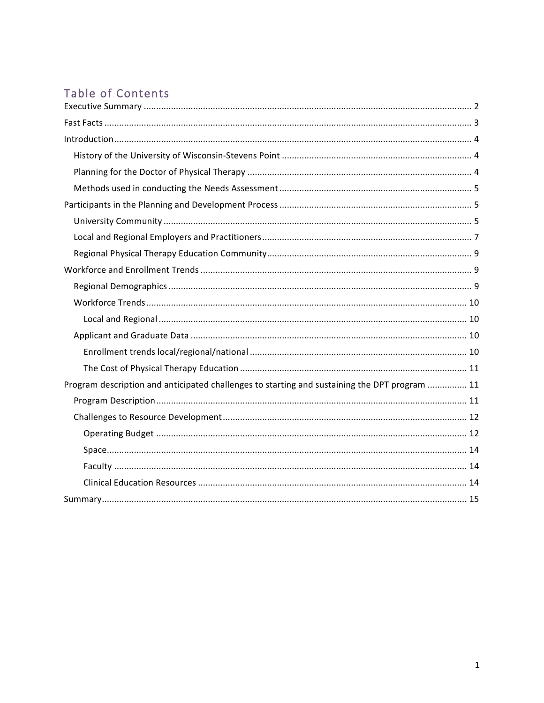# Table of Contents

| Program description and anticipated challenges to starting and sustaining the DPT program  11 |  |
|-----------------------------------------------------------------------------------------------|--|
|                                                                                               |  |
|                                                                                               |  |
|                                                                                               |  |
|                                                                                               |  |
|                                                                                               |  |
|                                                                                               |  |
|                                                                                               |  |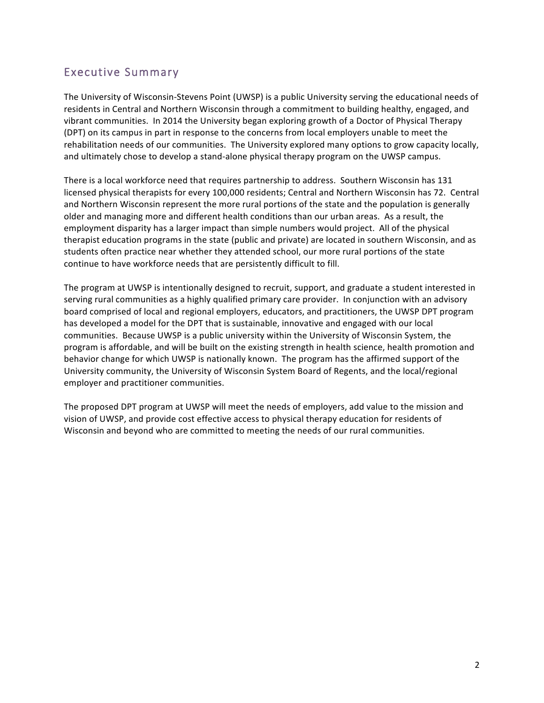### Executive Summary

The University of Wisconsin-Stevens Point (UWSP) is a public University serving the educational needs of residents in Central and Northern Wisconsin through a commitment to building healthy, engaged, and vibrant communities. In 2014 the University began exploring growth of a Doctor of Physical Therapy (DPT) on its campus in part in response to the concerns from local employers unable to meet the rehabilitation needs of our communities. The University explored many options to grow capacity locally, and ultimately chose to develop a stand-alone physical therapy program on the UWSP campus.

There is a local workforce need that requires partnership to address. Southern Wisconsin has 131 licensed physical therapists for every 100,000 residents; Central and Northern Wisconsin has 72. Central and Northern Wisconsin represent the more rural portions of the state and the population is generally older and managing more and different health conditions than our urban areas. As a result, the employment disparity has a larger impact than simple numbers would project. All of the physical therapist education programs in the state (public and private) are located in southern Wisconsin, and as students often practice near whether they attended school, our more rural portions of the state continue to have workforce needs that are persistently difficult to fill.

The program at UWSP is intentionally designed to recruit, support, and graduate a student interested in serving rural communities as a highly qualified primary care provider. In conjunction with an advisory board comprised of local and regional employers, educators, and practitioners, the UWSP DPT program has developed a model for the DPT that is sustainable, innovative and engaged with our local communities. Because UWSP is a public university within the University of Wisconsin System, the program is affordable, and will be built on the existing strength in health science, health promotion and behavior change for which UWSP is nationally known. The program has the affirmed support of the University community, the University of Wisconsin System Board of Regents, and the local/regional employer and practitioner communities.

The proposed DPT program at UWSP will meet the needs of employers, add value to the mission and vision of UWSP, and provide cost effective access to physical therapy education for residents of Wisconsin and beyond who are committed to meeting the needs of our rural communities.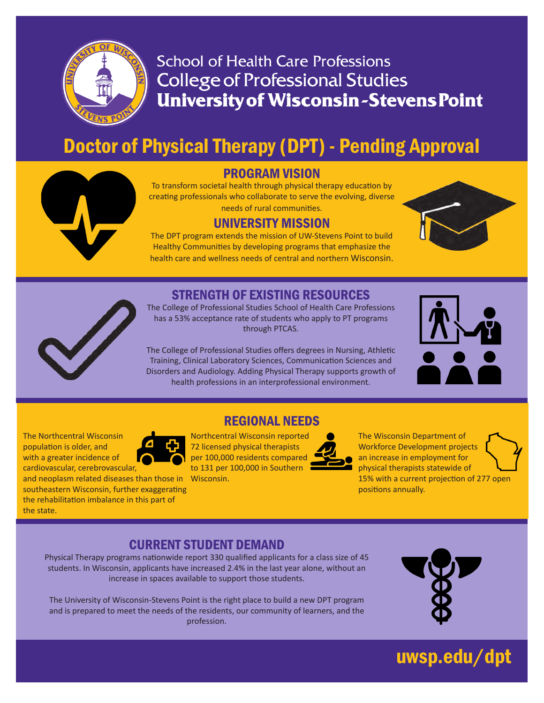

# **School of Health Care Professions College of Professional Studies University of Wisconsin-Stevens Point**

# Doctor of Physical Therapy (DPT) - Pending Approval



### PROGRAM VISION

To transform societal health through physical therapy education by creating professionals who collaborate to serve the evolving, diverse needs of rural communities.

#### UNIVERSITY MISSION

The DPT program extends the mission of UW-Stevens Point to build Healthy Communities by developing programs that emphasize the health care and wellness needs of central and northern Wisconsin.



### STRENGTH OF EXISTING RESOURCES

The College of Professional Studies School of Health Care Professions has a 53% acceptance rate of students who apply to PT programs through PTCAS.

The College of Professional Studies offers degrees in Nursing, Athletic Training, Clinical Laboratory Sciences, Communication Sciences and Disorders and Audiology. Adding Physical Therapy supports growth of health professions in an interprofessional environment.



The Northcentral Wisconsin population is older, and with a greater incidence of cardiovascular, cerebrovascular,



and neoplasm related diseases than those in Wisconsin. southeastern Wisconsin, further exaggerating the rehabilitation imbalance in this part of the state.

### REGIONAL NEEDS

Northcentral Wisconsin reported 72 licensed physical therapists per 100,000 residents compared to 131 per 100,000 in Southern



The Wisconsin Department of Workforce Development projects an increase in employment for physical therapists statewide of 15% with a current projection of 277 open positions annually.

### CURRENT STUDENT DEMAND

Physical Therapy programs nationwide report 330 qualified applicants for a class size of 45 students. In Wisconsin, applicants have increased 2.4% in the last year alone, without an increase in spaces available to support those students.

The University of Wisconsin-Stevens Point is the right place to build a new DPT program and is prepared to meet the needs of the residents, our community of learners, and the profession.



# uwsp.edu/dpt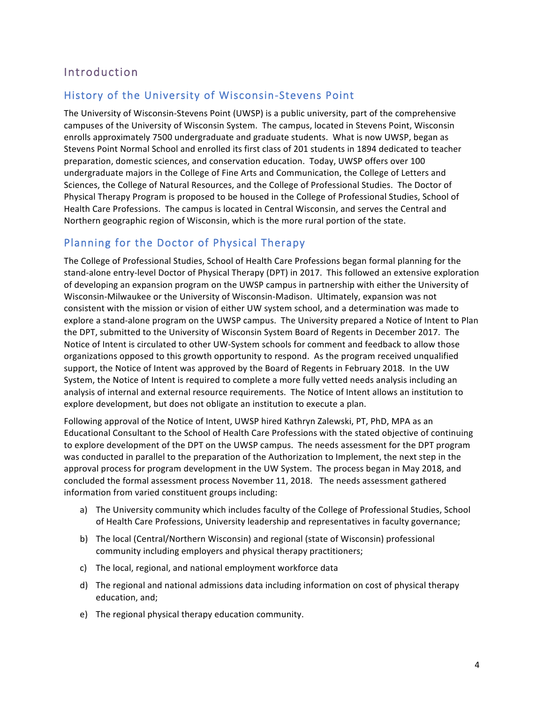### Introduction

#### History of the University of Wisconsin-Stevens Point

The University of Wisconsin-Stevens Point (UWSP) is a public university, part of the comprehensive campuses of the University of Wisconsin System. The campus, located in Stevens Point, Wisconsin enrolls approximately 7500 undergraduate and graduate students. What is now UWSP, began as Stevens Point Normal School and enrolled its first class of 201 students in 1894 dedicated to teacher preparation, domestic sciences, and conservation education. Today, UWSP offers over 100 undergraduate majors in the College of Fine Arts and Communication, the College of Letters and Sciences, the College of Natural Resources, and the College of Professional Studies. The Doctor of Physical Therapy Program is proposed to be housed in the College of Professional Studies, School of Health Care Professions. The campus is located in Central Wisconsin, and serves the Central and Northern geographic region of Wisconsin, which is the more rural portion of the state.

#### Planning for the Doctor of Physical Therapy

The College of Professional Studies, School of Health Care Professions began formal planning for the stand-alone entry-level Doctor of Physical Therapy (DPT) in 2017. This followed an extensive exploration of developing an expansion program on the UWSP campus in partnership with either the University of Wisconsin-Milwaukee or the University of Wisconsin-Madison. Ultimately, expansion was not consistent with the mission or vision of either UW system school, and a determination was made to explore a stand-alone program on the UWSP campus. The University prepared a Notice of Intent to Plan the DPT, submitted to the University of Wisconsin System Board of Regents in December 2017. The Notice of Intent is circulated to other UW-System schools for comment and feedback to allow those organizations opposed to this growth opportunity to respond. As the program received unqualified support, the Notice of Intent was approved by the Board of Regents in February 2018. In the UW System, the Notice of Intent is required to complete a more fully vetted needs analysis including an analysis of internal and external resource requirements. The Notice of Intent allows an institution to explore development, but does not obligate an institution to execute a plan.

Following approval of the Notice of Intent, UWSP hired Kathryn Zalewski, PT, PhD, MPA as an Educational Consultant to the School of Health Care Professions with the stated objective of continuing to explore development of the DPT on the UWSP campus. The needs assessment for the DPT program was conducted in parallel to the preparation of the Authorization to Implement, the next step in the approval process for program development in the UW System. The process began in May 2018, and concluded the formal assessment process November 11, 2018. The needs assessment gathered information from varied constituent groups including:

- a) The University community which includes faculty of the College of Professional Studies, School of Health Care Professions, University leadership and representatives in faculty governance;
- b) The local (Central/Northern Wisconsin) and regional (state of Wisconsin) professional community including employers and physical therapy practitioners;
- c) The local, regional, and national employment workforce data
- d) The regional and national admissions data including information on cost of physical therapy education, and;
- e) The regional physical therapy education community.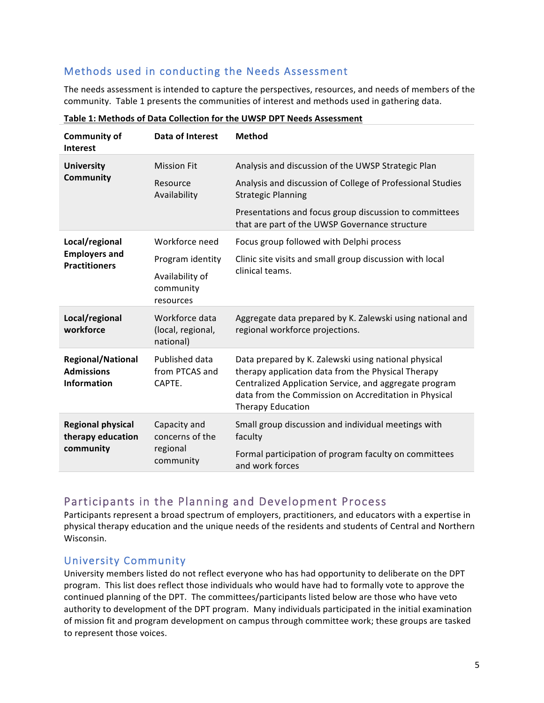#### Methods used in conducting the Needs Assessment

The needs assessment is intended to capture the perspectives, resources, and needs of members of the community. Table 1 presents the communities of interest and methods used in gathering data.

| <b>Community of</b><br><b>Interest</b>                              | Data of Interest                                         | <b>Method</b>                                                                                                                                                                                                                                             |  |  |
|---------------------------------------------------------------------|----------------------------------------------------------|-----------------------------------------------------------------------------------------------------------------------------------------------------------------------------------------------------------------------------------------------------------|--|--|
| <b>University</b>                                                   | <b>Mission Fit</b>                                       | Analysis and discussion of the UWSP Strategic Plan                                                                                                                                                                                                        |  |  |
| Community                                                           | Resource<br>Availability                                 | Analysis and discussion of College of Professional Studies<br><b>Strategic Planning</b>                                                                                                                                                                   |  |  |
|                                                                     |                                                          | Presentations and focus group discussion to committees<br>that are part of the UWSP Governance structure                                                                                                                                                  |  |  |
| Local/regional                                                      | Workforce need                                           | Focus group followed with Delphi process                                                                                                                                                                                                                  |  |  |
| <b>Employers and</b><br><b>Practitioners</b>                        | Program identity                                         | Clinic site visits and small group discussion with local                                                                                                                                                                                                  |  |  |
|                                                                     | Availability of<br>community<br>resources                | clinical teams.                                                                                                                                                                                                                                           |  |  |
| Local/regional<br>workforce                                         | Workforce data<br>(local, regional,<br>national)         | Aggregate data prepared by K. Zalewski using national and<br>regional workforce projections.                                                                                                                                                              |  |  |
| <b>Regional/National</b><br><b>Admissions</b><br><b>Information</b> | Published data<br>from PTCAS and<br>CAPTE.               | Data prepared by K. Zalewski using national physical<br>therapy application data from the Physical Therapy<br>Centralized Application Service, and aggregate program<br>data from the Commission on Accreditation in Physical<br><b>Therapy Education</b> |  |  |
| <b>Regional physical</b><br>therapy education                       | Capacity and<br>concerns of the<br>regional<br>community | Small group discussion and individual meetings with<br>faculty                                                                                                                                                                                            |  |  |
| community                                                           |                                                          | Formal participation of program faculty on committees<br>and work forces                                                                                                                                                                                  |  |  |

Table 1: Methods of Data Collection for the UWSP DPT Needs Assessment

#### Participants in the Planning and Development Process

Participants represent a broad spectrum of employers, practitioners, and educators with a expertise in physical therapy education and the unique needs of the residents and students of Central and Northern Wisconsin. 

#### University Community

University members listed do not reflect everyone who has had opportunity to deliberate on the DPT program. This list does reflect those individuals who would have had to formally vote to approve the continued planning of the DPT. The committees/participants listed below are those who have veto authority to development of the DPT program. Many individuals participated in the initial examination of mission fit and program development on campus through committee work; these groups are tasked to represent those voices.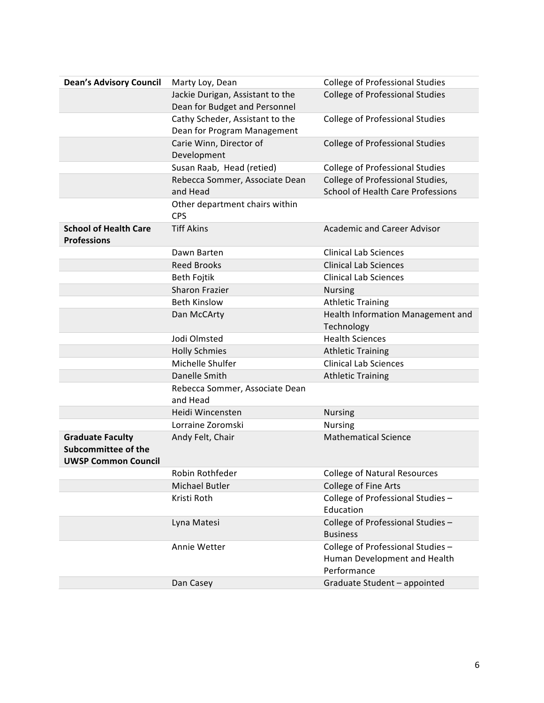| <b>Dean's Advisory Council</b>                                               | Marty Loy, Dean                            | <b>College of Professional Studies</b>                                           |  |  |
|------------------------------------------------------------------------------|--------------------------------------------|----------------------------------------------------------------------------------|--|--|
|                                                                              | Jackie Durigan, Assistant to the           | <b>College of Professional Studies</b>                                           |  |  |
|                                                                              | Dean for Budget and Personnel              |                                                                                  |  |  |
|                                                                              | Cathy Scheder, Assistant to the            | <b>College of Professional Studies</b>                                           |  |  |
|                                                                              | Dean for Program Management                |                                                                                  |  |  |
|                                                                              | Carie Winn, Director of                    | <b>College of Professional Studies</b>                                           |  |  |
|                                                                              | Development                                |                                                                                  |  |  |
|                                                                              | Susan Raab, Head (retied)                  | <b>College of Professional Studies</b>                                           |  |  |
|                                                                              | Rebecca Sommer, Associate Dean             | College of Professional Studies,                                                 |  |  |
|                                                                              | and Head                                   | <b>School of Health Care Professions</b>                                         |  |  |
|                                                                              | Other department chairs within             |                                                                                  |  |  |
|                                                                              | <b>CPS</b>                                 |                                                                                  |  |  |
| <b>School of Health Care</b><br><b>Professions</b>                           | <b>Tiff Akins</b>                          | <b>Academic and Career Advisor</b>                                               |  |  |
|                                                                              | Dawn Barten                                | <b>Clinical Lab Sciences</b>                                                     |  |  |
|                                                                              | <b>Reed Brooks</b>                         | <b>Clinical Lab Sciences</b>                                                     |  |  |
|                                                                              | Beth Fojtik                                | <b>Clinical Lab Sciences</b>                                                     |  |  |
|                                                                              | Sharon Frazier                             | <b>Nursing</b>                                                                   |  |  |
|                                                                              | <b>Beth Kinslow</b>                        | <b>Athletic Training</b>                                                         |  |  |
|                                                                              | Dan McCArty                                | Health Information Management and<br>Technology                                  |  |  |
|                                                                              | Jodi Olmsted                               | <b>Health Sciences</b>                                                           |  |  |
|                                                                              | <b>Holly Schmies</b>                       | <b>Athletic Training</b>                                                         |  |  |
|                                                                              | Michelle Shulfer                           | <b>Clinical Lab Sciences</b>                                                     |  |  |
|                                                                              | Danelle Smith                              | <b>Athletic Training</b>                                                         |  |  |
|                                                                              | Rebecca Sommer, Associate Dean<br>and Head |                                                                                  |  |  |
|                                                                              | Heidi Wincensten                           | <b>Nursing</b>                                                                   |  |  |
|                                                                              | Lorraine Zoromski                          | <b>Nursing</b>                                                                   |  |  |
| <b>Graduate Faculty</b><br>Subcommittee of the<br><b>UWSP Common Council</b> | Andy Felt, Chair                           | <b>Mathematical Science</b>                                                      |  |  |
|                                                                              | Robin Rothfeder                            | <b>College of Natural Resources</b>                                              |  |  |
|                                                                              | Michael Butler                             | College of Fine Arts                                                             |  |  |
|                                                                              | Kristi Roth                                | College of Professional Studies -                                                |  |  |
|                                                                              |                                            | Education                                                                        |  |  |
|                                                                              | Lyna Matesi                                | College of Professional Studies -<br><b>Business</b>                             |  |  |
|                                                                              | Annie Wetter                               | College of Professional Studies -<br>Human Development and Health<br>Performance |  |  |
|                                                                              | Dan Casey                                  | Graduate Student - appointed                                                     |  |  |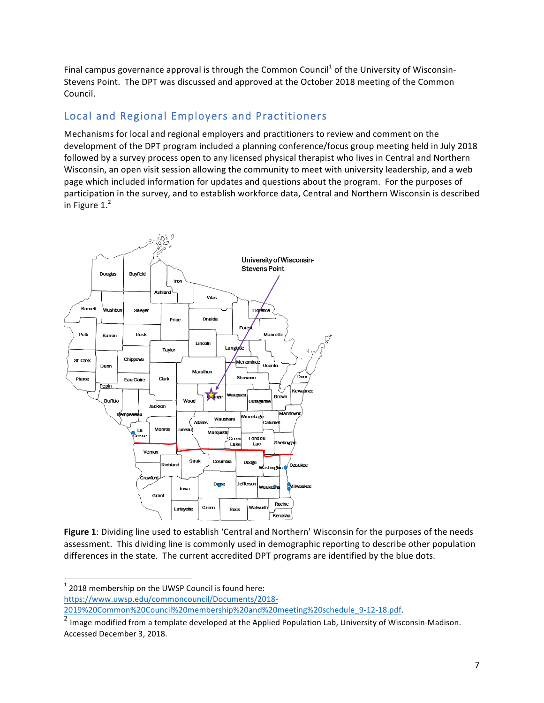Final campus governance approval is through the Common Council<sup>1</sup> of the University of Wisconsin-Stevens Point. The DPT was discussed and approved at the October 2018 meeting of the Common Council. 

#### Local and Regional Employers and Practitioners

Mechanisms for local and regional employers and practitioners to review and comment on the development of the DPT program included a planning conference/focus group meeting held in July 2018 followed by a survey process open to any licensed physical therapist who lives in Central and Northern Wisconsin, an open visit session allowing the community to meet with university leadership, and a web page which included information for updates and questions about the program. For the purposes of participation in the survey, and to establish workforce data, Central and Northern Wisconsin is described in Figure 1. $^2$ 



Figure 1: Dividing line used to establish 'Central and Northern' Wisconsin for the purposes of the needs assessment. This dividing line is commonly used in demographic reporting to describe other population differences in the state. The current accredited DPT programs are identified by the blue dots.

  $1$  2018 membership on the UWSP Council is found here: https://www.uwsp.edu/commoncouncil/Documents/2018-

2019%20Common%20Council%20membership%20and%20meeting%20schedule\_9-12-18.pdf.

 $\frac{2}{3}$  Image modified from a template developed at the Applied Population Lab, University of Wisconsin-Madison. Accessed December 3, 2018.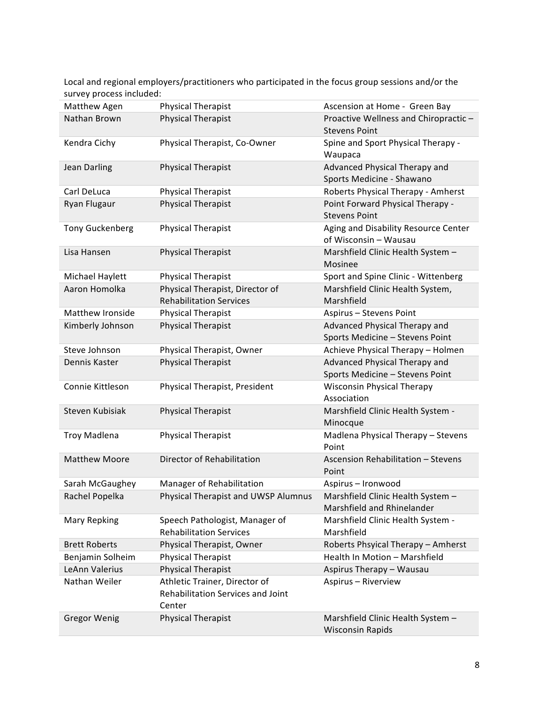Local and regional employers/practitioners who participated in the focus group sessions and/or the survey process included:

| Matthew Agen           | <b>Physical Therapist</b>           | Ascension at Home - Green Bay        |  |  |
|------------------------|-------------------------------------|--------------------------------------|--|--|
| Nathan Brown           | <b>Physical Therapist</b>           | Proactive Wellness and Chiropractic- |  |  |
|                        |                                     | <b>Stevens Point</b>                 |  |  |
| Kendra Cichy           | Physical Therapist, Co-Owner        | Spine and Sport Physical Therapy -   |  |  |
|                        |                                     | Waupaca                              |  |  |
| Jean Darling           | <b>Physical Therapist</b>           | Advanced Physical Therapy and        |  |  |
|                        |                                     | Sports Medicine - Shawano            |  |  |
| Carl DeLuca            | Physical Therapist                  | Roberts Physical Therapy - Amherst   |  |  |
| Ryan Flugaur           | Physical Therapist                  | Point Forward Physical Therapy -     |  |  |
|                        |                                     | <b>Stevens Point</b>                 |  |  |
| <b>Tony Guckenberg</b> | <b>Physical Therapist</b>           | Aging and Disability Resource Center |  |  |
|                        |                                     | of Wisconsin - Wausau                |  |  |
| Lisa Hansen            | <b>Physical Therapist</b>           | Marshfield Clinic Health System -    |  |  |
|                        |                                     | Mosinee                              |  |  |
| Michael Haylett        | <b>Physical Therapist</b>           | Sport and Spine Clinic - Wittenberg  |  |  |
| Aaron Homolka          | Physical Therapist, Director of     | Marshfield Clinic Health System,     |  |  |
|                        | <b>Rehabilitation Services</b>      | Marshfield                           |  |  |
| Matthew Ironside       | <b>Physical Therapist</b>           | Aspirus - Stevens Point              |  |  |
| Kimberly Johnson       | <b>Physical Therapist</b>           | Advanced Physical Therapy and        |  |  |
|                        |                                     | Sports Medicine - Stevens Point      |  |  |
| Steve Johnson          | Physical Therapist, Owner           | Achieve Physical Therapy - Holmen    |  |  |
| Dennis Kaster          | Physical Therapist                  | Advanced Physical Therapy and        |  |  |
|                        |                                     | Sports Medicine - Stevens Point      |  |  |
| Connie Kittleson       | Physical Therapist, President       | <b>Wisconsin Physical Therapy</b>    |  |  |
|                        |                                     | Association                          |  |  |
| Steven Kubisiak        | <b>Physical Therapist</b>           | Marshfield Clinic Health System -    |  |  |
|                        |                                     | Minocque                             |  |  |
| <b>Troy Madlena</b>    | <b>Physical Therapist</b>           | Madlena Physical Therapy - Stevens   |  |  |
|                        |                                     | Point                                |  |  |
| <b>Matthew Moore</b>   | Director of Rehabilitation          | Ascension Rehabilitation - Stevens   |  |  |
|                        |                                     | Point                                |  |  |
| Sarah McGaughey        | Manager of Rehabilitation           | Aspirus - Ironwood                   |  |  |
| Rachel Popelka         | Physical Therapist and UWSP Alumnus | Marshfield Clinic Health System      |  |  |
|                        |                                     | Marshfield and Rhinelander           |  |  |
| <b>Mary Repking</b>    | Speech Pathologist, Manager of      | Marshfield Clinic Health System -    |  |  |
|                        | <b>Rehabilitation Services</b>      | Marshfield                           |  |  |
| <b>Brett Roberts</b>   | Physical Therapist, Owner           | Roberts Phsyical Therapy - Amherst   |  |  |
| Benjamin Solheim       | <b>Physical Therapist</b>           | Health In Motion - Marshfield        |  |  |
| LeAnn Valerius         | <b>Physical Therapist</b>           | Aspirus Therapy - Wausau             |  |  |
| Nathan Weiler          | Athletic Trainer, Director of       | Aspirus - Riverview                  |  |  |
|                        | Rehabilitation Services and Joint   |                                      |  |  |
|                        | Center                              |                                      |  |  |
| <b>Gregor Wenig</b>    | <b>Physical Therapist</b>           | Marshfield Clinic Health System -    |  |  |
|                        |                                     | <b>Wisconsin Rapids</b>              |  |  |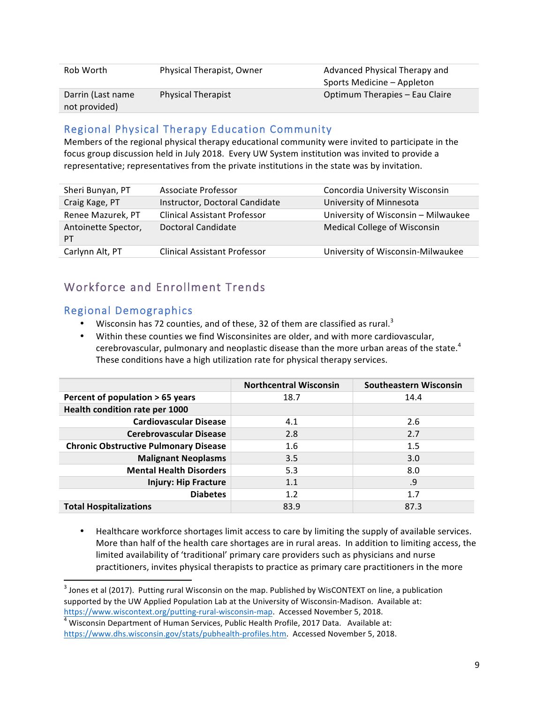| Rob Worth                          | Physical Therapist, Owner | Advanced Physical Therapy and<br>Sports Medicine – Appleton |
|------------------------------------|---------------------------|-------------------------------------------------------------|
| Darrin (Last name<br>not provided) | <b>Physical Therapist</b> | Optimum Therapies - Eau Claire                              |

#### Regional Physical Therapy Education Community

Members of the regional physical therapy educational community were invited to participate in the focus group discussion held in July 2018. Every UW System institution was invited to provide a representative; representatives from the private institutions in the state was by invitation.

| Sheri Bunyan, PT          | Associate Professor                 | Concordia University Wisconsin      |
|---------------------------|-------------------------------------|-------------------------------------|
| Craig Kage, PT            | Instructor, Doctoral Candidate      | University of Minnesota             |
| Renee Mazurek, PT         | <b>Clinical Assistant Professor</b> | University of Wisconsin - Milwaukee |
| Antoinette Spector,<br>PT | Doctoral Candidate                  | <b>Medical College of Wisconsin</b> |
| Carlynn Alt, PT           | <b>Clinical Assistant Professor</b> | University of Wisconsin-Milwaukee   |
|                           |                                     |                                     |

# Workforce and Enrollment Trends

#### Regional Demographics

 

- Wisconsin has 72 counties, and of these, 32 of them are classified as rural.<sup>3</sup>
- Within these counties we find Wisconsinites are older, and with more cardiovascular, cerebrovascular, pulmonary and neoplastic disease than the more urban areas of the state.<sup>4</sup> These conditions have a high utilization rate for physical therapy services.

|                                              | <b>Northcentral Wisconsin</b> | <b>Southeastern Wisconsin</b> |
|----------------------------------------------|-------------------------------|-------------------------------|
| Percent of population > 65 years             | 18.7                          | 14.4                          |
| Health condition rate per 1000               |                               |                               |
| <b>Cardiovascular Disease</b>                | 4.1                           | 2.6                           |
| <b>Cerebrovascular Disease</b>               | 2.8                           | 2.7                           |
| <b>Chronic Obstructive Pulmonary Disease</b> | 1.6                           | 1.5                           |
| <b>Malignant Neoplasms</b>                   | 3.5                           | 3.0                           |
| <b>Mental Health Disorders</b>               | 5.3                           | 8.0                           |
| <b>Injury: Hip Fracture</b>                  | 1.1                           | .9                            |
| <b>Diabetes</b>                              | 1.2                           | 1.7                           |
| <b>Total Hospitalizations</b>                | 83.9                          | 87.3                          |

Healthcare workforce shortages limit access to care by limiting the supply of available services. More than half of the health care shortages are in rural areas. In addition to limiting access, the limited availability of 'traditional' primary care providers such as physicians and nurse practitioners, invites physical therapists to practice as primary care practitioners in the more

 $3$  Jones et al (2017). Putting rural Wisconsin on the map. Published by WisCONTEXT on line, a publication supported by the UW Applied Population Lab at the University of Wisconsin-Madison. Available at: https://www.wiscontext.org/putting-rural-wisconsin-map. Accessed November 5, 2018.<br><sup>4</sup> Wisconsin Department of Human Services, Public Health Profile, 2017 Data. Available at:

https://www.dhs.wisconsin.gov/stats/pubhealth-profiles.htm. Accessed November 5, 2018.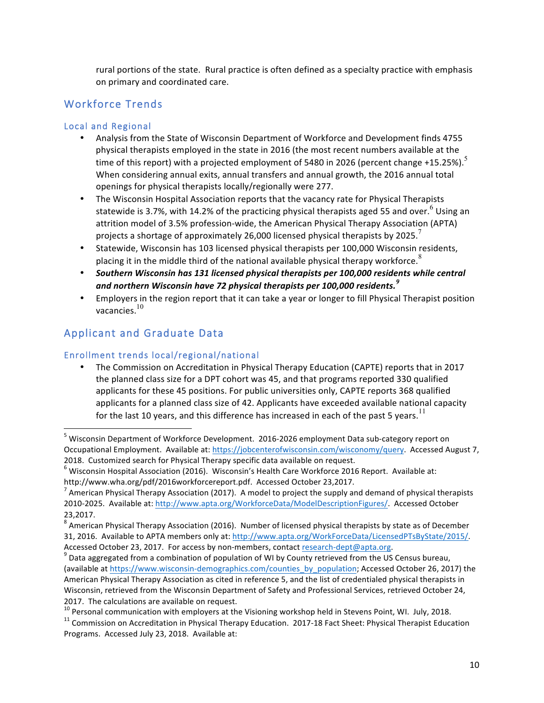rural portions of the state. Rural practice is often defined as a specialty practice with emphasis on primary and coordinated care.

#### Workforce Trends

#### Local and Regional

- Analysis from the State of Wisconsin Department of Workforce and Development finds 4755 physical therapists employed in the state in 2016 (the most recent numbers available at the time of this report) with a projected employment of 5480 in 2026 (percent change +15.25%).<sup>5</sup> When considering annual exits, annual transfers and annual growth, the 2016 annual total openings for physical therapists locally/regionally were 277.
- The Wisconsin Hospital Association reports that the vacancy rate for Physical Therapists statewide is 3.7%, with 14.2% of the practicing physical therapists aged 55 and over. <sup>6</sup> Using an attrition model of 3.5% profession-wide, the American Physical Therapy Association (APTA) projects a shortage of approximately 26,000 licensed physical therapists by 2025.
- Statewide, Wisconsin has 103 licensed physical therapists per 100,000 Wisconsin residents, placing it in the middle third of the national available physical therapy workforce.<sup>8</sup>
- Southern Wisconsin has 131 licensed physical therapists per 100,000 residents while central and northern Wisconsin have 72 physical therapists per 100,000 residents.<sup>9</sup>
- Employers in the region report that it can take a year or longer to fill Physical Therapist position vacancies.<sup>10</sup>

## Applicant and Graduate Data

 

#### Enrollment trends local/regional/national

The Commission on Accreditation in Physical Therapy Education (CAPTE) reports that in 2017 the planned class size for a DPT cohort was 45, and that programs reported 330 qualified applicants for these 45 positions. For public universities only, CAPTE reports 368 qualified applicants for a planned class size of 42. Applicants have exceeded available national capacity for the last 10 years, and this difference has increased in each of the past 5 vears.<sup>11</sup>

 $<sup>5</sup>$  Wisconsin Department of Workforce Development. 2016-2026 employment Data sub-category report on</sup> Occupational Employment. Available at: https://jobcenterofwisconsin.com/wisconomy/query. Accessed August 7, 2018. Customized search for Physical Therapy specific data available on request.

 $6$  Wisconsin Hospital Association (2016). Wisconsin's Health Care Workforce 2016 Report. Available at:

http://www.wha.org/pdf/2016workforcereport.pdf. Accessed October 23,2017.<br><sup>7</sup> American Physical Therapy Association (2017). A model to project the supply and demand of physical therapists 2010-2025. Available at: http://www.apta.org/WorkforceData/ModelDescriptionFigures/. Accessed October 23,2017.

 $8$  American Physical Therapy Association (2016). Number of licensed physical therapists by state as of December 31, 2016. Available to APTA members only at: http://www.apta.org/WorkForceData/LicensedPTsByState/2015/. Accessed October 23, 2017. For access by non-members, contact research-dept@apta.org.<br><sup>9</sup> Data aggregated from a combination of population of WI by County retrieved from the US Census bureau,

<sup>(</sup>available at https://www.wisconsin-demographics.com/counties\_by\_population; Accessed October 26, 2017) the American Physical Therapy Association as cited in reference 5, and the list of credentialed physical therapists in Wisconsin, retrieved from the Wisconsin Department of Safety and Professional Services, retrieved October 24, 2017. The calculations are available on request.<br><sup>10</sup> Personal communication with employers at the Visioning workshop held in Stevens Point, WI. July, 2018.<br><sup>11</sup> Commission on Accreditation in Physical Therapy Education. 2

Programs. Accessed July 23, 2018. Available at: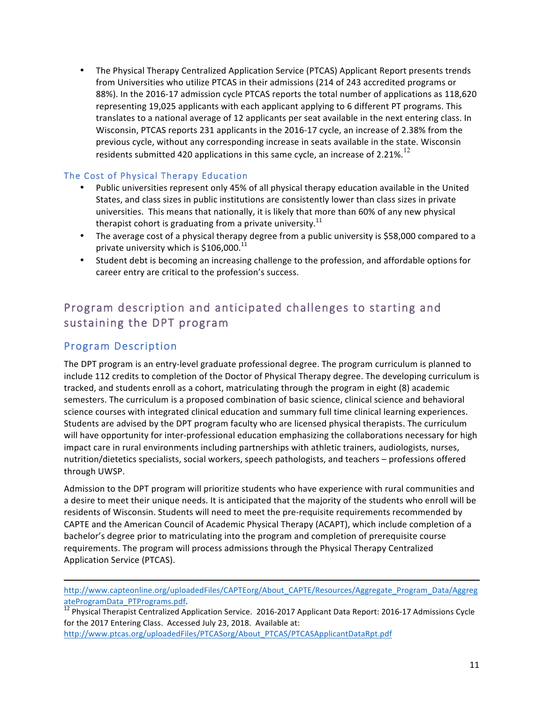• The Physical Therapy Centralized Application Service (PTCAS) Applicant Report presents trends from Universities who utilize PTCAS in their admissions (214 of 243 accredited programs or 88%). In the 2016-17 admission cycle PTCAS reports the total number of applications as 118,620 representing 19,025 applicants with each applicant applying to 6 different PT programs. This translates to a national average of 12 applicants per seat available in the next entering class. In Wisconsin, PTCAS reports 231 applicants in the 2016-17 cycle, an increase of 2.38% from the previous cycle, without any corresponding increase in seats available in the state. Wisconsin residents submitted 420 applications in this same cycle, an increase of 2.21%.<sup>12</sup>

#### The Cost of Physical Therapy Education

- Public universities represent only 45% of all physical therapy education available in the United States, and class sizes in public institutions are consistently lower than class sizes in private universities. This means that nationally, it is likely that more than 60% of any new physical therapist cohort is graduating from a private university.<sup>11</sup>
- The average cost of a physical therapy degree from a public university is \$58,000 compared to a private university which is  $$106,000.<sup>11</sup>$
- Student debt is becoming an increasing challenge to the profession, and affordable options for career entry are critical to the profession's success.

### Program description and anticipated challenges to starting and sustaining the DPT program

#### Program Description

The DPT program is an entry-level graduate professional degree. The program curriculum is planned to include 112 credits to completion of the Doctor of Physical Therapy degree. The developing curriculum is tracked, and students enroll as a cohort, matriculating through the program in eight (8) academic semesters. The curriculum is a proposed combination of basic science, clinical science and behavioral science courses with integrated clinical education and summary full time clinical learning experiences. Students are advised by the DPT program faculty who are licensed physical therapists. The curriculum will have opportunity for inter-professional education emphasizing the collaborations necessary for high impact care in rural environments including partnerships with athletic trainers, audiologists, nurses, nutrition/dietetics specialists, social workers, speech pathologists, and teachers – professions offered through UWSP.

Admission to the DPT program will prioritize students who have experience with rural communities and a desire to meet their unique needs. It is anticipated that the majority of the students who enroll will be residents of Wisconsin. Students will need to meet the pre-requisite requirements recommended by CAPTE and the American Council of Academic Physical Therapy (ACAPT), which include completion of a bachelor's degree prior to matriculating into the program and completion of prerequisite course requirements. The program will process admissions through the Physical Therapy Centralized Application Service (PTCAS).

<u> 1989 - Andrea Santa Andrea Andrea Andrea Andrea Andrea Andrea Andrea Andrea Andrea Andrea Andrea Andrea Andr</u> http://www.capteonline.org/uploadedFiles/CAPTEorg/About\_CAPTE/Resources/Aggregate\_Program\_Data/Aggreg

ateProgramData\_PTPrograms.pdf.<br><sup>12</sup> Physical Therapist Centralized Application Service. 2016-2017 Applicant Data Report: 2016-17 Admissions Cycle for the 2017 Entering Class. Accessed July 23, 2018. Available at: http://www.ptcas.org/uploadedFiles/PTCASorg/About\_PTCAS/PTCASApplicantDataRpt.pdf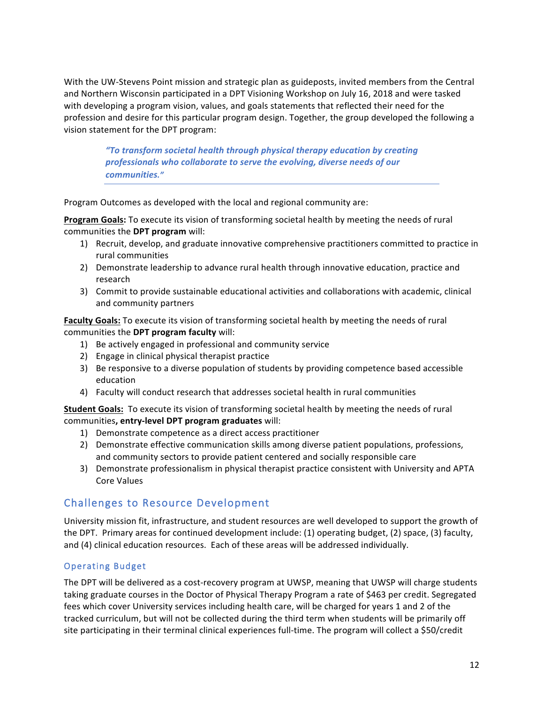With the UW-Stevens Point mission and strategic plan as guideposts, invited members from the Central and Northern Wisconsin participated in a DPT Visioning Workshop on July 16, 2018 and were tasked with developing a program vision, values, and goals statements that reflected their need for the profession and desire for this particular program design. Together, the group developed the following a vision statement for the DPT program:

> "To transform societal health through physical therapy education by creating *professionals who collaborate to serve the evolving, diverse needs of our communities."*

Program Outcomes as developed with the local and regional community are:

**Program Goals:** To execute its vision of transforming societal health by meeting the needs of rural communities the **DPT** program will:

- 1) Recruit, develop, and graduate innovative comprehensive practitioners committed to practice in rural communities
- 2) Demonstrate leadership to advance rural health through innovative education, practice and research
- 3) Commit to provide sustainable educational activities and collaborations with academic, clinical and community partners

#### **Faculty Goals:** To execute its vision of transforming societal health by meeting the needs of rural communities the DPT program faculty will:

- 1) Be actively engaged in professional and community service
- 2) Engage in clinical physical therapist practice
- 3) Be responsive to a diverse population of students by providing competence based accessible education
- 4) Faculty will conduct research that addresses societal health in rural communities

**Student Goals:** To execute its vision of transforming societal health by meeting the needs of rural communities, entry-level DPT program graduates will:

- 1) Demonstrate competence as a direct access practitioner
- 2) Demonstrate effective communication skills among diverse patient populations, professions, and community sectors to provide patient centered and socially responsible care
- 3) Demonstrate professionalism in physical therapist practice consistent with University and APTA Core Values

#### Challenges to Resource Development

University mission fit, infrastructure, and student resources are well developed to support the growth of the DPT. Primary areas for continued development include: (1) operating budget, (2) space, (3) faculty, and (4) clinical education resources. Each of these areas will be addressed individually.

#### Operating Budget

The DPT will be delivered as a cost-recovery program at UWSP, meaning that UWSP will charge students taking graduate courses in the Doctor of Physical Therapy Program a rate of \$463 per credit. Segregated fees which cover University services including health care, will be charged for years 1 and 2 of the tracked curriculum, but will not be collected during the third term when students will be primarily off site participating in their terminal clinical experiences full-time. The program will collect a \$50/credit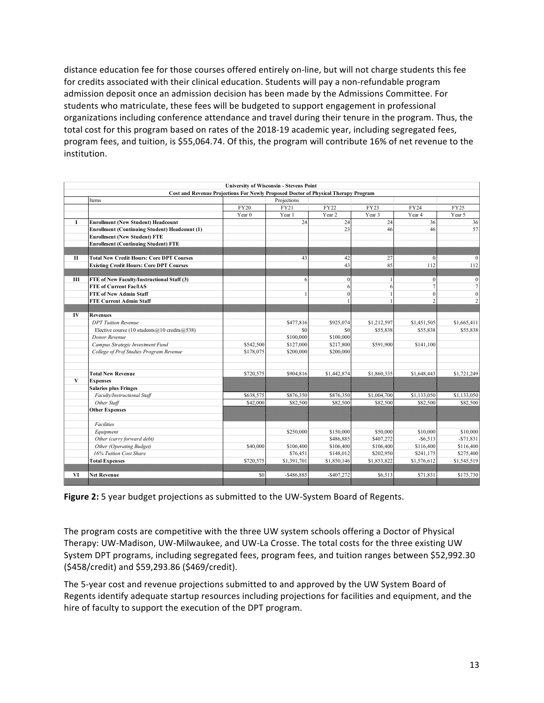distance education fee for those courses offered entirely on-line, but will not charge students this fee for credits associated with their clinical education. Students will pay a non-refundable program admission deposit once an admission decision has been made by the Admissions Committee. For students who matriculate, these fees will be budgeted to support engagement in professional organizations including conference attendance and travel during their tenure in the program. Thus, the total cost for this program based on rates of the 2018-19 academic year, including segregated fees, program fees, and tuition, is \$55,064.74. Of this, the program will contribute 16% of net revenue to the institution.

|              |                                                          |                                                                                    | <b>University of Wisconsin - Stevens Point</b> |              |             |             |                  |
|--------------|----------------------------------------------------------|------------------------------------------------------------------------------------|------------------------------------------------|--------------|-------------|-------------|------------------|
|              |                                                          | Cost and Revenue Projections For Newly Proposed Doctor of Physical Therapy Program |                                                |              |             |             |                  |
|              | Items                                                    |                                                                                    | Projections                                    |              |             |             |                  |
|              |                                                          | <b>FY20</b>                                                                        | FY21                                           | FY22         | <b>FY23</b> | FY24        | FY25             |
|              |                                                          | Year $0$                                                                           | Year 1                                         | Year 2       | Year 3      | Year 4      | Year 5           |
| L            | <b>Enrollment (New Student) Headcount</b>                |                                                                                    | 24                                             | 24           | 24          | 36          | 36               |
|              | <b>Enrollment (Continuing Student) Headcount (1)</b>     |                                                                                    |                                                | 23           | 46          | 46          | 57               |
|              | <b>Enrollment (New Student) FTE</b>                      |                                                                                    |                                                |              |             |             |                  |
|              | <b>Enrollment (Continuing Student) FTE</b>               |                                                                                    |                                                |              |             |             |                  |
|              |                                                          |                                                                                    |                                                |              |             |             |                  |
| $\mathbf{I}$ | <b>Total New Credit Hours: Core DPT Courses</b>          |                                                                                    | 43                                             | 42           | 27          | $\theta$    | $\mathbf{0}$     |
|              | <b>Existing Credit Hours: Core DPT Courses</b>           |                                                                                    |                                                | 43           | 85          | 112         | 112              |
|              |                                                          |                                                                                    |                                                |              |             |             |                  |
| Ш            | FTE of New Faculty/Instructional Staff (3)               |                                                                                    | 6                                              | $\mathbf{0}$ |             | $\theta$    | $\boldsymbol{0}$ |
|              | <b>FTE of Current Fac/IAS</b>                            |                                                                                    |                                                | 6            |             |             | $\overline{7}$   |
|              | <b>FTE of New Admin Staff</b>                            |                                                                                    |                                                |              |             | $\Omega$    | $\overline{0}$   |
|              | <b>FTE Current Admin Staff</b>                           |                                                                                    |                                                |              |             |             | $\overline{2}$   |
|              |                                                          |                                                                                    |                                                |              |             |             |                  |
| $\bf{IV}$    | <b>Revenues</b>                                          |                                                                                    |                                                |              |             |             |                  |
|              | <b>DPT</b> Tuition Revenue                               |                                                                                    | \$477,816                                      | \$925,074    | \$1,212,597 | \$1,451,505 | \$1,665,411      |
|              | Elective course (10 students $(a)$ 10 credits $(a)$ 538) |                                                                                    | \$0                                            | \$0          | \$55,838    | \$55,838    | \$55,838         |
|              | Donor Revenue                                            |                                                                                    | \$100,000                                      | \$100,000    |             |             |                  |
|              | Campus Strategic Investment Fund                         | \$542,500                                                                          | \$127,000                                      | \$217,800    | \$591,900   | \$141,100   |                  |
|              | College of Prof Studies Program Revenue                  | \$178,075                                                                          | \$200,000                                      | \$200,000    |             |             |                  |
|              | <b>Total New Revenue</b>                                 | \$720,575                                                                          | \$904,816                                      | \$1,442,874  | \$1,860,335 | \$1,648,443 | \$1,721,249      |
| $\bf{V}$     | <b>Expenses</b>                                          |                                                                                    |                                                |              |             |             |                  |
|              | <b>Salaries plus Fringes</b>                             |                                                                                    |                                                |              |             |             |                  |
|              | Faculty/Instructional Staff                              | \$638,575                                                                          | \$876,350                                      | \$876,350    | \$1,004,700 | \$1,133,050 | \$1,133,050      |
|              | Other Staff                                              | \$42,000                                                                           | \$82,500                                       | \$82,500     | \$82,500    | \$82,500    | \$82,500         |
|              | <b>Other Expenses</b>                                    |                                                                                    |                                                |              |             |             |                  |
|              | <b>Facilities</b>                                        |                                                                                    |                                                |              |             |             |                  |
|              | Equipment                                                |                                                                                    | \$250,000                                      | \$150,000    | \$50,000    | \$10,000    | \$10,000         |
|              | Other (carry forward debt)                               |                                                                                    |                                                | \$486,885    | \$407,272   | $-$6,513$   | $-$71,831$       |
|              | Other (Operating Budget)                                 | \$40,000                                                                           | \$106,400                                      | \$106,400    | \$106,400   | \$116,400   | \$116,400        |
|              | 16% Tuition Cost Share                                   |                                                                                    | \$76,451                                       | \$148,012    | \$202,950   | \$241,175   | \$275,400        |
|              | <b>Total Expenses</b>                                    | \$720,575                                                                          | \$1,391,701                                    | \$1,850,146  | \$1,853,822 | \$1,576,612 | \$1,545,519      |
|              |                                                          |                                                                                    |                                                |              |             |             |                  |
| VI           | <b>Net Revenue</b>                                       | \$0                                                                                | $-$ \$486,885                                  | $-$407,272$  | \$6.513     | \$71.831    | \$175,730        |
|              |                                                          |                                                                                    |                                                |              |             |             |                  |

**Figure 2:** 5 year budget projections as submitted to the UW-System Board of Regents.

The program costs are competitive with the three UW system schools offering a Doctor of Physical Therapy: UW-Madison, UW-Milwaukee, and UW-La Crosse. The total costs for the three existing UW System DPT programs, including segregated fees, program fees, and tuition ranges between \$52,992.30 (\$458/credit) and \$59,293.86 (\$469/credit).

The 5-year cost and revenue projections submitted to and approved by the UW System Board of Regents identify adequate startup resources including projections for facilities and equipment, and the hire of faculty to support the execution of the DPT program.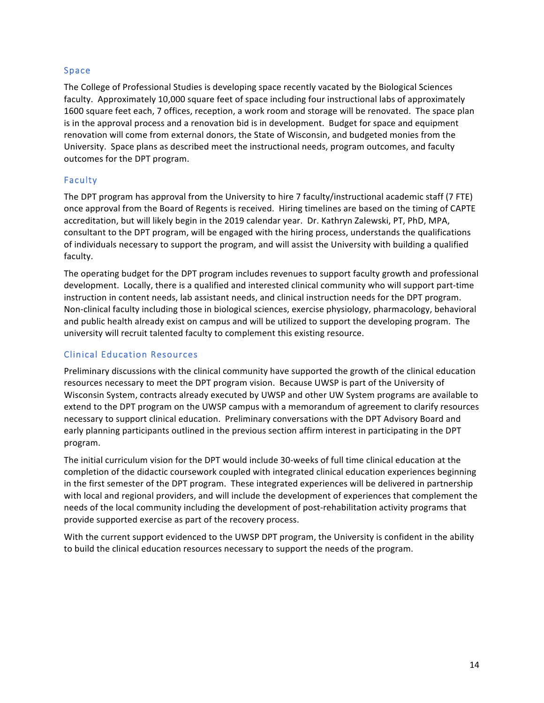#### Space

The College of Professional Studies is developing space recently vacated by the Biological Sciences faculty. Approximately 10,000 square feet of space including four instructional labs of approximately 1600 square feet each, 7 offices, reception, a work room and storage will be renovated. The space plan is in the approval process and a renovation bid is in development. Budget for space and equipment renovation will come from external donors, the State of Wisconsin, and budgeted monies from the University. Space plans as described meet the instructional needs, program outcomes, and faculty outcomes for the DPT program.

#### Faculty

The DPT program has approval from the University to hire 7 faculty/instructional academic staff (7 FTE) once approval from the Board of Regents is received. Hiring timelines are based on the timing of CAPTE accreditation, but will likely begin in the 2019 calendar year. Dr. Kathryn Zalewski, PT, PhD, MPA, consultant to the DPT program, will be engaged with the hiring process, understands the qualifications of individuals necessary to support the program, and will assist the University with building a qualified faculty. 

The operating budget for the DPT program includes revenues to support faculty growth and professional development. Locally, there is a qualified and interested clinical community who will support part-time instruction in content needs, lab assistant needs, and clinical instruction needs for the DPT program. Non-clinical faculty including those in biological sciences, exercise physiology, pharmacology, behavioral and public health already exist on campus and will be utilized to support the developing program. The university will recruit talented faculty to complement this existing resource.

#### Clinical Education Resources

Preliminary discussions with the clinical community have supported the growth of the clinical education resources necessary to meet the DPT program vision. Because UWSP is part of the University of Wisconsin System, contracts already executed by UWSP and other UW System programs are available to extend to the DPT program on the UWSP campus with a memorandum of agreement to clarify resources necessary to support clinical education. Preliminary conversations with the DPT Advisory Board and early planning participants outlined in the previous section affirm interest in participating in the DPT program. 

The initial curriculum vision for the DPT would include 30-weeks of full time clinical education at the completion of the didactic coursework coupled with integrated clinical education experiences beginning in the first semester of the DPT program. These integrated experiences will be delivered in partnership with local and regional providers, and will include the development of experiences that complement the needs of the local community including the development of post-rehabilitation activity programs that provide supported exercise as part of the recovery process.

With the current support evidenced to the UWSP DPT program, the University is confident in the ability to build the clinical education resources necessary to support the needs of the program.